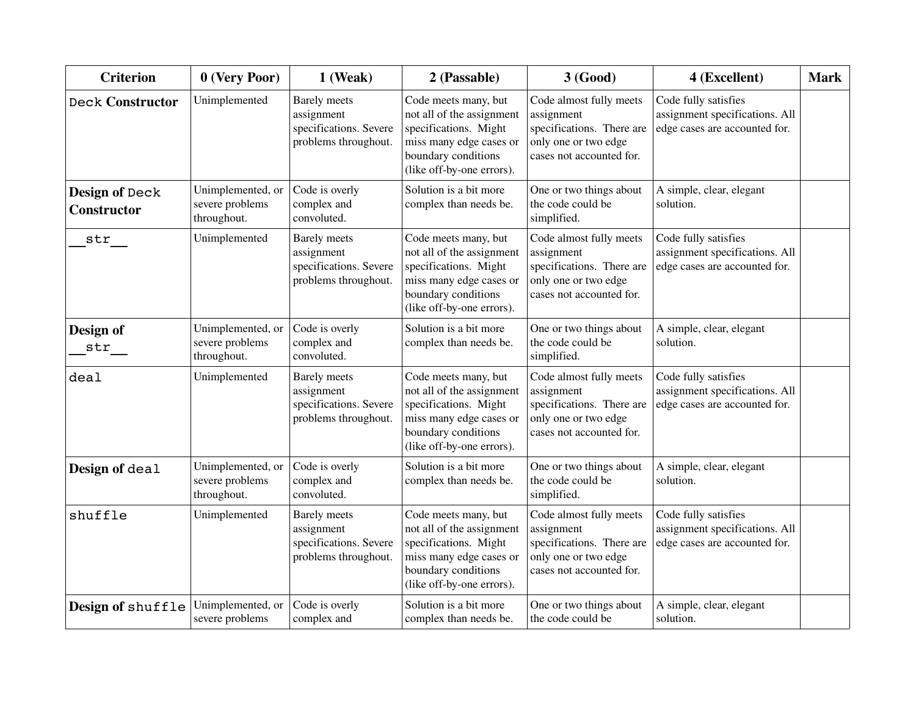| <b>Criterion</b>                     | $0$ (Very Poor)                                     | $1$ (Weak)                                                                          | 2 (Passable)                                                                                                                                              | 3 (Good)                                                                                                               | 4 (Excellent)                                                                           | <b>Mark</b> |
|--------------------------------------|-----------------------------------------------------|-------------------------------------------------------------------------------------|-----------------------------------------------------------------------------------------------------------------------------------------------------------|------------------------------------------------------------------------------------------------------------------------|-----------------------------------------------------------------------------------------|-------------|
| <b>Deck Constructor</b>              | Unimplemented                                       | <b>Barely</b> meets<br>assignment<br>specifications. Severe<br>problems throughout. | Code meets many, but<br>not all of the assignment<br>specifications. Might<br>miss many edge cases or<br>boundary conditions<br>(like off-by-one errors). | Code almost fully meets<br>assignment<br>specifications. There are<br>only one or two edge<br>cases not accounted for. | Code fully satisfies<br>assignment specifications. All<br>edge cases are accounted for. |             |
| Design of Deck<br><b>Constructor</b> | Unimplemented, or<br>severe problems<br>throughout. | Code is overly<br>complex and<br>convoluted.                                        | Solution is a bit more<br>complex than needs be.                                                                                                          | One or two things about<br>the code could be<br>simplified.                                                            | A simple, clear, elegant<br>solution.                                                   |             |
| str                                  | Unimplemented                                       | <b>Barely</b> meets<br>assignment<br>specifications. Severe<br>problems throughout. | Code meets many, but<br>not all of the assignment<br>specifications. Might<br>miss many edge cases or<br>boundary conditions<br>(like off-by-one errors). | Code almost fully meets<br>assignment<br>specifications. There are<br>only one or two edge<br>cases not accounted for. | Code fully satisfies<br>assignment specifications. All<br>edge cases are accounted for. |             |
| Design of<br>$str_{-}$               | Unimplemented, or<br>severe problems<br>throughout. | Code is overly<br>complex and<br>convoluted.                                        | Solution is a bit more<br>complex than needs be.                                                                                                          | One or two things about<br>the code could be<br>simplified.                                                            | A simple, clear, elegant<br>solution.                                                   |             |
| deal                                 | Unimplemented                                       | <b>Barely</b> meets<br>assignment<br>specifications. Severe<br>problems throughout. | Code meets many, but<br>not all of the assignment<br>specifications. Might<br>miss many edge cases or<br>boundary conditions<br>(like off-by-one errors). | Code almost fully meets<br>assignment<br>specifications. There are<br>only one or two edge<br>cases not accounted for. | Code fully satisfies<br>assignment specifications. All<br>edge cases are accounted for. |             |
| Design of deal                       | Unimplemented, or<br>severe problems<br>throughout. | Code is overly<br>complex and<br>convoluted.                                        | Solution is a bit more<br>complex than needs be.                                                                                                          | One or two things about<br>the code could be<br>simplified.                                                            | A simple, clear, elegant<br>solution.                                                   |             |
| shuffle                              | Unimplemented                                       | <b>Barely</b> meets<br>assignment<br>specifications. Severe<br>problems throughout. | Code meets many, but<br>not all of the assignment<br>specifications. Might<br>miss many edge cases or<br>boundary conditions<br>(like off-by-one errors). | Code almost fully meets<br>assignment<br>specifications. There are<br>only one or two edge<br>cases not accounted for. | Code fully satisfies<br>assignment specifications. All<br>edge cases are accounted for. |             |
| Design of shuffle                    | Unimplemented, or<br>severe problems                | Code is overly<br>complex and                                                       | Solution is a bit more<br>complex than needs be.                                                                                                          | One or two things about<br>the code could be                                                                           | A simple, clear, elegant<br>solution.                                                   |             |